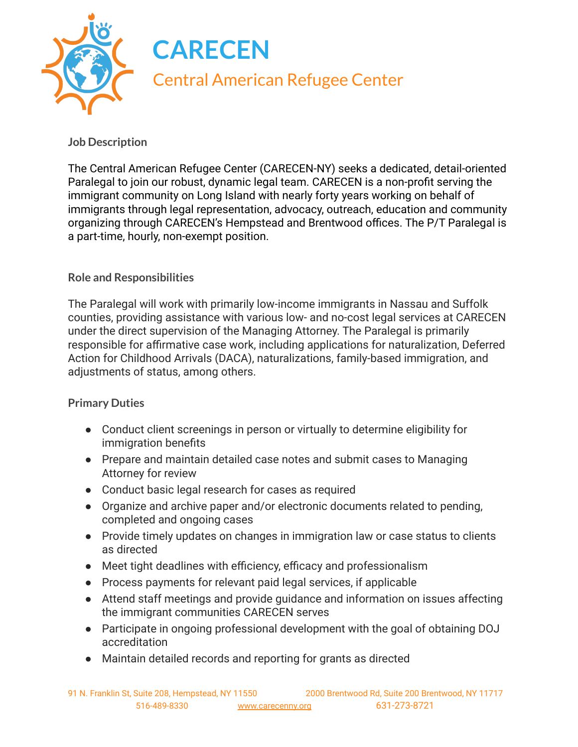

## **Job Description**

The Central American Refugee Center (CARECEN-NY) seeks a dedicated, detail-oriented Paralegal to join our robust, dynamic legal team. CARECEN is a non-profit serving the immigrant community on Long Island with nearly forty years working on behalf of immigrants through legal representation, advocacy, outreach, education and community organizing through CARECEN's Hempstead and Brentwood offices. The P/T Paralegal is a part-time, hourly, non-exempt position.

## **Role and Responsibilities**

The Paralegal will work with primarily low-income immigrants in Nassau and Suffolk counties, providing assistance with various low- and no-cost legal services at CARECEN under the direct supervision of the Managing Attorney. The Paralegal is primarily responsible for affirmative case work, including applications for naturalization, Deferred Action for Childhood Arrivals (DACA), naturalizations, family-based immigration, and adjustments of status, among others.

## **Primary Duties**

- Conduct client screenings in person or virtually to determine eligibility for immigration benefits
- Prepare and maintain detailed case notes and submit cases to Managing Attorney for review
- Conduct basic legal research for cases as required
- Organize and archive paper and/or electronic documents related to pending, completed and ongoing cases
- Provide timely updates on changes in immigration law or case status to clients as directed
- Meet tight deadlines with efficiency, efficacy and professionalism
- Process payments for relevant paid legal services, if applicable
- Attend staff meetings and provide guidance and information on issues affecting the immigrant communities CARECEN serves
- Participate in ongoing professional development with the goal of obtaining DOJ accreditation
- Maintain detailed records and reporting for grants as directed